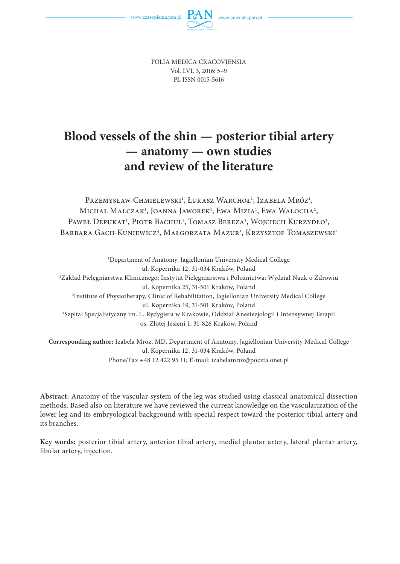



FOLIA MEDICA CRACOVIENSIA Vol. LVI, 3, 2016: 5–9 PL ISSN 0015-5616

# **Blood vessels of the shin — posterior tibial artery — anatomy — own studies and review of the literature**

Przemysław Chmielewski<sup>1</sup>, Łukasz Warchoł<sup>1</sup>, Izabela Mróz<sup>1</sup>, Michał Malczak<sup>1</sup>, Joanna Jaworek<sup>1</sup>, Ewa Mizia<sup>1</sup>, Ewa Walocha<sup>2</sup>, Paweł Depukat<sup>1</sup>, Piotr Bachul<sup>1</sup>, Tomasz Bereza<sup>1</sup>, Wojciech Kurzydło<sup>3</sup>, Barbara Gach-Kuniewicz<sup>4</sup>, Małgorzata Mazur<sup>1</sup>, Krzysztof Tomaszewski<sup>1</sup>

1 Department of Anatomy, Jagiellonian University Medical College ul. Kopernika 12, 31-034 Kraków, Poland 2 Zakład Pielęgniarstwa Klinicznego; Instytut Pielęgniarstwa i Położnictwa; Wydział Nauk o Zdrowiu ul. Kopernika 25, 31-501 Kraków, Poland 3 Institute of Physiotherapy, Clinic of Rehabilitation, Jagiellonian University Medical College ul. Kopernika 19, 31-501 Kraków, Poland 4 Szpital Specjalistyczny im. L. Rydygiera w Krakowie, Oddział Anestezjologii i Intensywnej Terapii os. Złotej Jesieni 1, 31-826 Kraków, Poland

**Corresponding author:** Izabela Mróz, MD, Department of Anatomy, Jagiellonian University Medical College ul. Kopernika 12, 31-034 Kraków, Poland Phone/Fax +48 12 422 95 11; E-mail: izabelamroz@poczta.onet.pl

**Abstract:** Anatomy of the vascular system of the leg was studied using classical anatomical dissection methods. Based also on literature we have reviewed the current knowledge on the vascularization of the lower leg and its embryological background with special respect toward the posterior tibial artery and its branches.

**Key words:** posterior tibial artery, anterior tibial artery, medial plantar artery, lateral plantar artery, fibular artery, injection.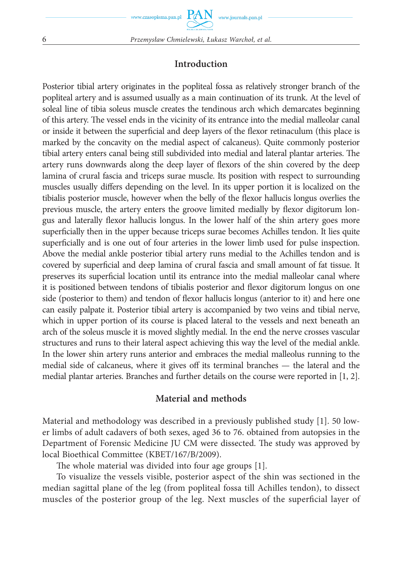## **Introduction**

Posterior tibial artery originates in the popliteal fossa as relatively stronger branch of the popliteal artery and is assumed usually as a main continuation of its trunk. At the level of soleal line of tibia soleus muscle creates the tendinous arch which demarcates beginning of this artery. The vessel ends in the vicinity of its entrance into the medial malleolar canal or inside it between the superficial and deep layers of the flexor retinaculum (this place is marked by the concavity on the medial aspect of calcaneus). Quite commonly posterior tibial artery enters canal being still subdivided into medial and lateral plantar arteries. The artery runs downwards along the deep layer of flexors of the shin covered by the deep lamina of crural fascia and triceps surae muscle. Its position with respect to surrounding muscles usually differs depending on the level. In its upper portion it is localized on the tibialis posterior muscle, however when the belly of the flexor hallucis longus overlies the previous muscle, the artery enters the groove limited medially by flexor digitorum longus and laterally flexor hallucis longus. In the lower half of the shin artery goes more superficially then in the upper because triceps surae becomes Achilles tendon. It lies quite superficially and is one out of four arteries in the lower limb used for pulse inspection. Above the medial ankle posterior tibial artery runs medial to the Achilles tendon and is covered by superficial and deep lamina of crural fascia and small amount of fat tissue. It preserves its superficial location until its entrance into the medial malleolar canal where it is positioned between tendons of tibialis posterior and flexor digitorum longus on one side (posterior to them) and tendon of flexor hallucis longus (anterior to it) and here one can easily palpate it. Posterior tibial artery is accompanied by two veins and tibial nerve, which in upper portion of its course is placed lateral to the vessels and next beneath an arch of the soleus muscle it is moved slightly medial. In the end the nerve crosses vascular structures and runs to their lateral aspect achieving this way the level of the medial ankle. In the lower shin artery runs anterior and embraces the medial malleolus running to the medial side of calcaneus, where it gives off its terminal branches — the lateral and the medial plantar arteries. Branches and further details on the course were reported in [1, 2].

## **Material and methods**

Material and methodology was described in a previously published study [1]. 50 lower limbs of adult cadavers of both sexes, aged 36 to 76. obtained from autopsies in the Department of Forensic Medicine JU CM were dissected. The study was approved by local Bioethical Committee (KBET/167/B/2009).

The whole material was divided into four age groups [1].

To visualize the vessels visible, posterior aspect of the shin was sectioned in the median sagittal plane of the leg (from popliteal fossa till Achilles tendon), to dissect muscles of the posterior group of the leg. Next muscles of the superficial layer of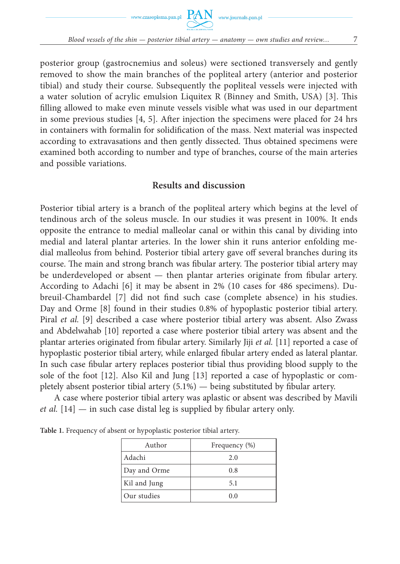

posterior group (gastrocnemius and soleus) were sectioned transversely and gently removed to show the main branches of the popliteal artery (anterior and posterior tibial) and study their course. Subsequently the popliteal vessels were injected with a water solution of acrylic emulsion Liquitex R (Binney and Smith, USA) [3]. This filling allowed to make even minute vessels visible what was used in our department in some previous studies  $[4, 5]$ . After injection the specimens were placed for 24 hrs in containers with formalin for solidification of the mass. Next material was inspected according to extravasations and then gently dissected. Thus obtained specimens were examined both according to number and type of branches, course of the main arteries and possible variations.

## **Results and discussion**

Posterior tibial artery is a branch of the popliteal artery which begins at the level of tendinous arch of the soleus muscle. In our studies it was present in 100%. It ends opposite the entrance to medial malleolar canal or within this canal by dividing into medial and lateral plantar arteries. In the lower shin it runs anterior enfolding medial malleolus from behind. Posterior tibial artery gave off several branches during its course. The main and strong branch was fibular artery. The posterior tibial artery may be underdeveloped or absent — then plantar arteries originate from fibular artery. According to Adachi [6] it may be absent in 2% (10 cases for 486 specimens). Dubreuil-Chambardel [7] did not find such case (complete absence) in his studies. Day and Orme [8] found in their studies 0.8% of hypoplastic posterior tibial artery. Piral *et al.* [9] described a case where posterior tibial artery was absent. Also Zwass and Abdelwahab [10] reported a case where posterior tibial artery was absent and the plantar arteries originated from fibular artery. Similarly Jiji *et al.* [11] reported a case of hypoplastic posterior tibial artery, while enlarged fibular artery ended as lateral plantar. In such case fibular artery replaces posterior tibial thus providing blood supply to the sole of the foot [12]. Also Kil and Jung [13] reported a case of hypoplastic or completely absent posterior tibial artery  $(5.1\%)$  — being substituted by fibular artery.

A case where posterior tibial artery was aplastic or absent was described by Mavili *et al.*  $[14]$  — in such case distal leg is supplied by fibular artery only.

| Author       | Frequency (%) |
|--------------|---------------|
| Adachi       | 2.0           |
| Day and Orme | 0.8           |
| Kil and Jung | 5.1           |
| Our studies  | 0.0           |

**Table 1.** Frequency of absent or hypoplastic posterior tibial artery.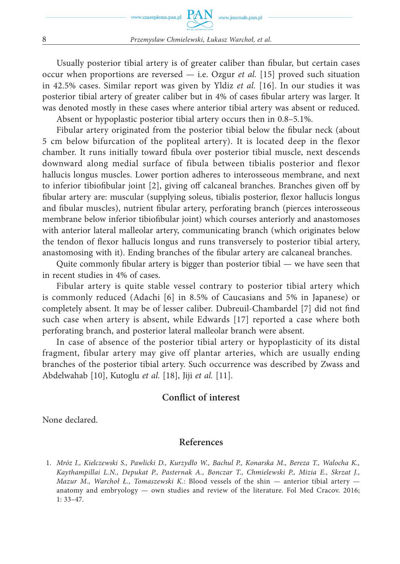Usually posterior tibial artery is of greater caliber than fibular, but certain cases occur when proportions are reversed — i.e. Ozgur *et al.* [15] proved such situation in 42.5% cases. Similar report was given by Yldiz *et al.* [16]. In our studies it was posterior tibial artery of greater caliber but in 4% of cases fibular artery was larger. It was denoted mostly in these cases where anterior tibial artery was absent or reduced.

Absent or hypoplastic posterior tibial artery occurs then in 0.8–5.1%.

Fibular artery originated from the posterior tibial below the fibular neck (about 5 cm below bifurcation of the popliteal artery). It is located deep in the flexor chamber. It runs initially toward fibula over posterior tibial muscle, next descends downward along medial surface of fibula between tibialis posterior and flexor hallucis longus muscles. Lower portion adheres to interosseous membrane, and next to inferior tibiofibular joint [2], giving off calcaneal branches. Branches given off by fibular artery are: muscular (supplying soleus, tibialis posterior, flexor hallucis longus and fibular muscles), nutrient fibular artery, perforating branch (pierces interosseous membrane below inferior tibiofibular joint) which courses anteriorly and anastomoses with anterior lateral malleolar artery, communicating branch (which originates below the tendon of flexor hallucis longus and runs transversely to posterior tibial artery, anastomosing with it). Ending branches of the fibular artery are calcaneal branches.

Quite commonly fibular artery is bigger than posterior tibial  $-$  we have seen that in recent studies in 4% of cases.

Fibular artery is quite stable vessel contrary to posterior tibial artery which is commonly reduced (Adachi [6] in 8.5% of Caucasians and 5% in Japanese) or completely absent. It may be of lesser caliber. Dubreuil-Chambardel [7] did not find such case when artery is absent, while Edwards [17] reported a case where both perforating branch, and posterior lateral malleolar branch were absent.

In case of absence of the posterior tibial artery or hypoplasticity of its distal fragment, fibular artery may give off plantar arteries, which are usually ending branches of the posterior tibial artery. Such occurrence was described by Zwass and Abdelwahab [10], Kutoglu *et al.* [18], Jiji *et al.* [11].

## **Conflict of interest**

None declared.

#### **References**

 <sup>1.</sup> *Mróz I., Kielczewski S., Pawlicki D., Kurzydło W., Bachul P., Konarska M., Bereza T., Walocha K., Kaythampillai L.N., Depukat P., Pasternak A., Bonczar T., Chmielewski P., Mizia E., Skrzat J., Mazur M., Warchoł Ł., Tomaszewski K.*: Blood vessels of the shin — anterior tibial artery anatomy and embryology — own studies and review of the literature. Fol Med Cracov. 2016; 1: 33–47.